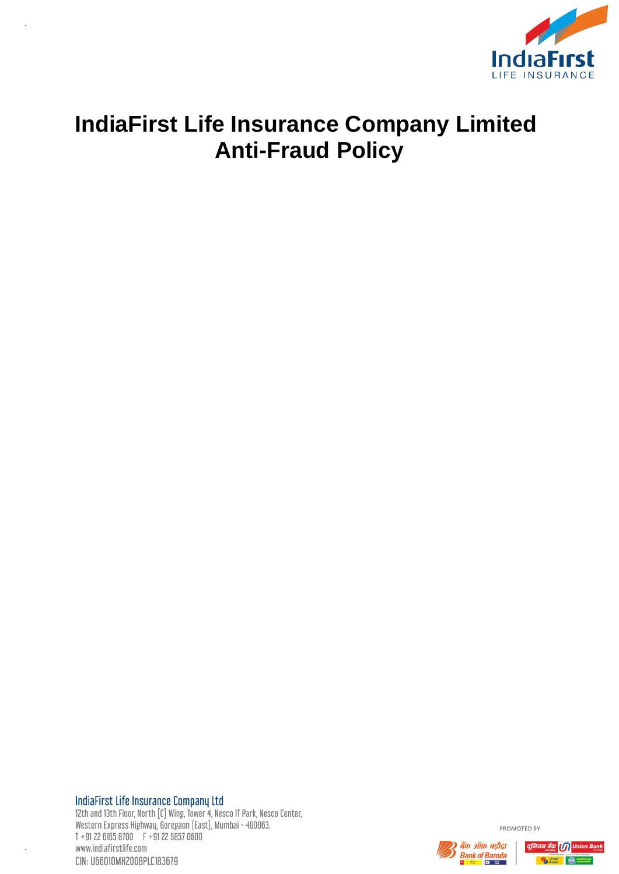

# **IndiaFirst Life Insurance Company Limited Anti-Fraud Policy**

IndiaFirst Life Insurance Company Ltd

12th and 13th Floor, North [C] Wing, Tower 4, Nesco IT Park, Nesco Center,<br>Western Express Highway, Goregaon (East), Mumbai - 400063.  $T + 912261658700$   $F + 912268570600$ www.indiafirstlife.com CIN: U66010MH2008PLC183679



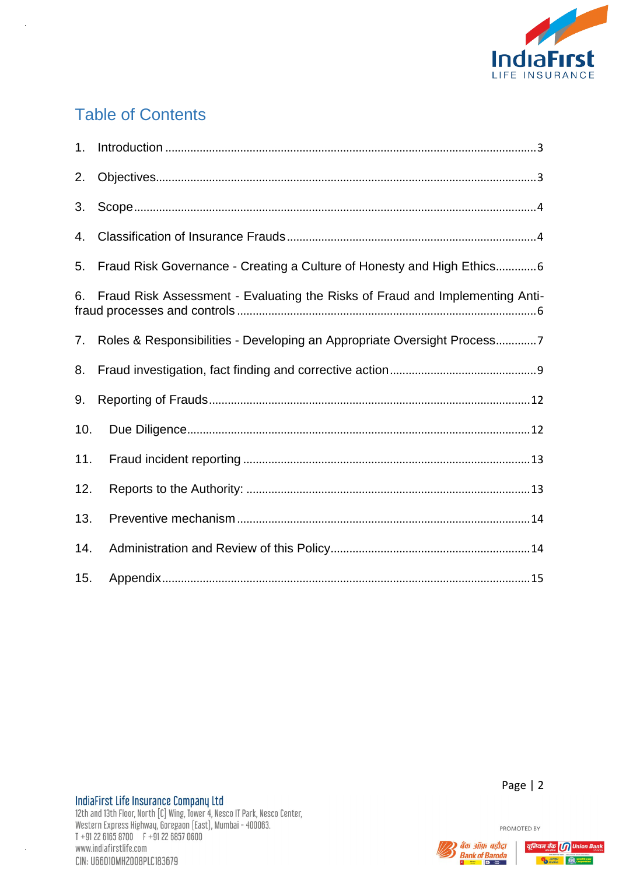

# **Table of Contents**

| 1.  |                                                                              |
|-----|------------------------------------------------------------------------------|
| 2.  |                                                                              |
| 3.  |                                                                              |
| 4.  |                                                                              |
| 5.  | Fraud Risk Governance - Creating a Culture of Honesty and High Ethics6       |
| 6.  | Fraud Risk Assessment - Evaluating the Risks of Fraud and Implementing Anti- |
| 7.  | Roles & Responsibilities - Developing an Appropriate Oversight Process7      |
| 8.  |                                                                              |
| 9.  |                                                                              |
| 10. |                                                                              |
| 11. |                                                                              |
| 12. |                                                                              |
| 13. |                                                                              |
| 14. |                                                                              |
| 15. |                                                                              |



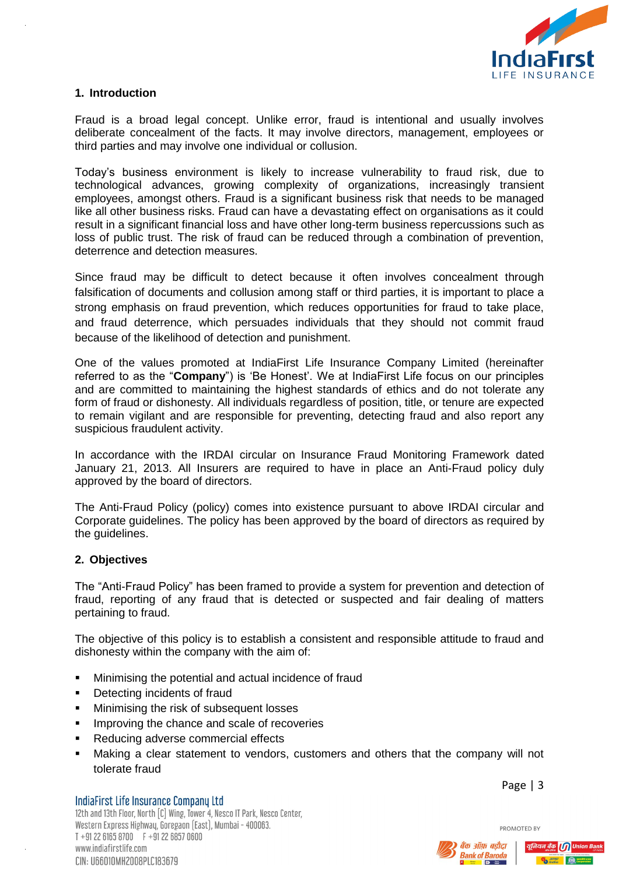

# <span id="page-2-0"></span>**1. Introduction**

Fraud is a broad legal concept. Unlike error, fraud is intentional and usually involves deliberate concealment of the facts. It may involve directors, management, employees or third parties and may involve one individual or collusion.

Today's business environment is likely to increase vulnerability to fraud risk, due to technological advances, growing complexity of organizations, increasingly transient employees, amongst others. Fraud is a significant business risk that needs to be managed like all other business risks. Fraud can have a devastating effect on organisations as it could result in a significant financial loss and have other long-term business repercussions such as loss of public trust. The risk of fraud can be reduced through a combination of prevention, deterrence and detection measures.

Since fraud may be difficult to detect because it often involves concealment through falsification of documents and collusion among staff or third parties, it is important to place a strong emphasis on fraud prevention, which reduces opportunities for fraud to take place, and fraud deterrence, which persuades individuals that they should not commit fraud because of the likelihood of detection and punishment.

One of the values promoted at IndiaFirst Life Insurance Company Limited (hereinafter referred to as the "**Company**") is 'Be Honest'. We at IndiaFirst Life focus on our principles and are committed to maintaining the highest standards of ethics and do not tolerate any form of fraud or dishonesty. All individuals regardless of position, title, or tenure are expected to remain vigilant and are responsible for preventing, detecting fraud and also report any suspicious fraudulent activity.

In accordance with the IRDAI circular on Insurance Fraud Monitoring Framework dated January 21, 2013. All Insurers are required to have in place an Anti-Fraud policy duly approved by the board of directors.

The Anti-Fraud Policy (policy) comes into existence pursuant to above IRDAI circular and Corporate guidelines. The policy has been approved by the board of directors as required by the guidelines.

#### <span id="page-2-1"></span>**2. Objectives**

The "Anti-Fraud Policy" has been framed to provide a system for prevention and detection of fraud, reporting of any fraud that is detected or suspected and fair dealing of matters pertaining to fraud.

The objective of this policy is to establish a consistent and responsible attitude to fraud and dishonesty within the company with the aim of:

- Minimising the potential and actual incidence of fraud
- **•** Detecting incidents of fraud
- **Minimising the risk of subsequent losses**
- **IMPROVING the chance and scale of recoveries**
- Reducing adverse commercial effects
- Making a clear statement to vendors, customers and others that the company will not tolerate fraud

**IndiaFirst Life Insurance Company Ltd** 12th and 13th Floor, North [C] Wing, Tower 4, Nesco IT Park, Nesco Center. Western Express Highwau, Goregaon (East), Mumbai - 400063.  $T + 912261658700$   $F + 912268570600$ www.indiafirstlife.com CIN: U66010MH2008PLC183679

Page | 3



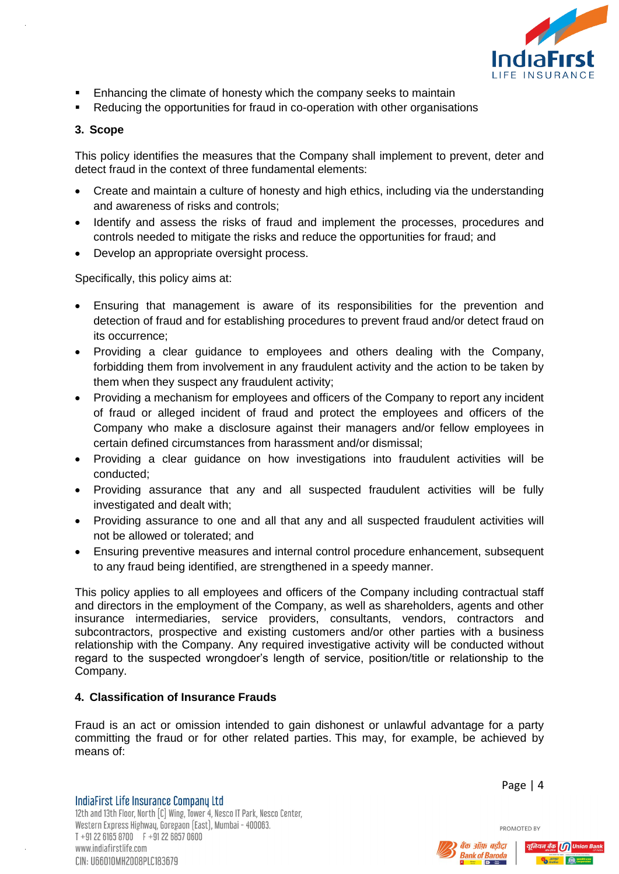

- Enhancing the climate of honesty which the company seeks to maintain
- Reducing the opportunities for fraud in co-operation with other organisations

# <span id="page-3-0"></span>**3. Scope**

This policy identifies the measures that the Company shall implement to prevent, deter and detect fraud in the context of three fundamental elements:

- Create and maintain a culture of honesty and high ethics, including via the understanding and awareness of risks and controls;
- Identify and assess the risks of fraud and implement the processes, procedures and controls needed to mitigate the risks and reduce the opportunities for fraud; and
- Develop an appropriate oversight process.

Specifically, this policy aims at:

- Ensuring that management is aware of its responsibilities for the prevention and detection of fraud and for establishing procedures to prevent fraud and/or detect fraud on its occurrence;
- Providing a clear guidance to employees and others dealing with the Company, forbidding them from involvement in any fraudulent activity and the action to be taken by them when they suspect any fraudulent activity;
- Providing a mechanism for employees and officers of the Company to report any incident of fraud or alleged incident of fraud and protect the employees and officers of the Company who make a disclosure against their managers and/or fellow employees in certain defined circumstances from harassment and/or dismissal;
- Providing a clear guidance on how investigations into fraudulent activities will be conducted;
- Providing assurance that any and all suspected fraudulent activities will be fully investigated and dealt with;
- Providing assurance to one and all that any and all suspected fraudulent activities will not be allowed or tolerated; and
- Ensuring preventive measures and internal control procedure enhancement, subsequent to any fraud being identified, are strengthened in a speedy manner.

This policy applies to all employees and officers of the Company including contractual staff and directors in the employment of the Company, as well as shareholders, agents and other insurance intermediaries, service providers, consultants, vendors, contractors and subcontractors, prospective and existing customers and/or other parties with a business relationship with the Company. Any required investigative activity will be conducted without regard to the suspected wrongdoer's length of service, position/title or relationship to the Company.

# <span id="page-3-1"></span>**4. Classification of Insurance Frauds**

Fraud is an act or omission intended to gain dishonest or unlawful advantage for a party committing the fraud or for other related parties. This may, for example, be achieved by means of:

IndiaFirst Life Insurance Company Ltd 12th and 13th Floor, North [C] Wing, Tower 4, Nesco IT Park, Nesco Center. Western Express Highwau, Goregaon (East), Mumbai - 400063.  $T + 912261658700$   $F + 912268570600$ www.indiafirstlife.com CIN: U66010MH2008PLC183679

Page | 4



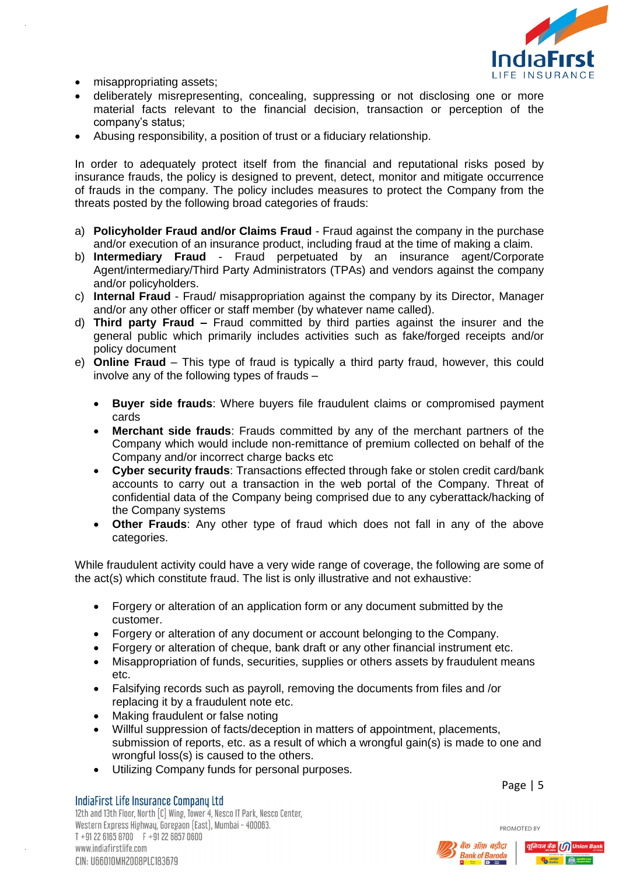

- misappropriating assets;
- deliberately misrepresenting, concealing, suppressing or not disclosing one or more material facts relevant to the financial decision, transaction or perception of the company's status;
- Abusing responsibility, a position of trust or a fiduciary relationship.

In order to adequately protect itself from the financial and reputational risks posed by insurance frauds, the policy is designed to prevent, detect, monitor and mitigate occurrence of frauds in the company. The policy includes measures to protect the Company from the threats posted by the following broad categories of frauds:

- a) **Policyholder Fraud and/or Claims Fraud** Fraud against the company in the purchase and/or execution of an insurance product, including fraud at the time of making a claim.
- b) **Intermediary Fraud** Fraud perpetuated by an insurance agent/Corporate Agent/intermediary/Third Party Administrators (TPAs) and vendors against the company and/or policyholders.
- c) **Internal Fraud**  Fraud/ misappropriation against the company by its Director, Manager and/or any other officer or staff member (by whatever name called).
- d) **Third party Fraud –** Fraud committed by third parties against the insurer and the general public which primarily includes activities such as fake/forged receipts and/or policy document
- e) **Online Fraud** This type of fraud is typically a third party fraud, however, this could involve any of the following types of frauds –
	- **Buyer side frauds**: Where buyers file fraudulent claims or compromised payment cards
	- **Merchant side frauds**: Frauds committed by any of the merchant partners of the Company which would include non-remittance of premium collected on behalf of the Company and/or incorrect charge backs etc
	- **Cyber security frauds**: Transactions effected through fake or stolen credit card/bank accounts to carry out a transaction in the web portal of the Company. Threat of confidential data of the Company being comprised due to any cyberattack/hacking of the Company systems
	- **Other Frauds**: Any other type of fraud which does not fall in any of the above categories.

While fraudulent activity could have a very wide range of coverage, the following are some of the act(s) which constitute fraud. The list is only illustrative and not exhaustive:

- Forgery or alteration of an application form or any document submitted by the customer.
- Forgery or alteration of any document or account belonging to the Company.
- Forgery or alteration of cheque, bank draft or any other financial instrument etc.
- Misappropriation of funds, securities, supplies or others assets by fraudulent means etc.
- Falsifying records such as payroll, removing the documents from files and /or replacing it by a fraudulent note etc.
- Making fraudulent or false noting
- Willful suppression of facts/deception in matters of appointment, placements, submission of reports, etc. as a result of which a wrongful gain(s) is made to one and wrongful loss(s) is caused to the others.
- Utilizing Company funds for personal purposes.

Page | 5



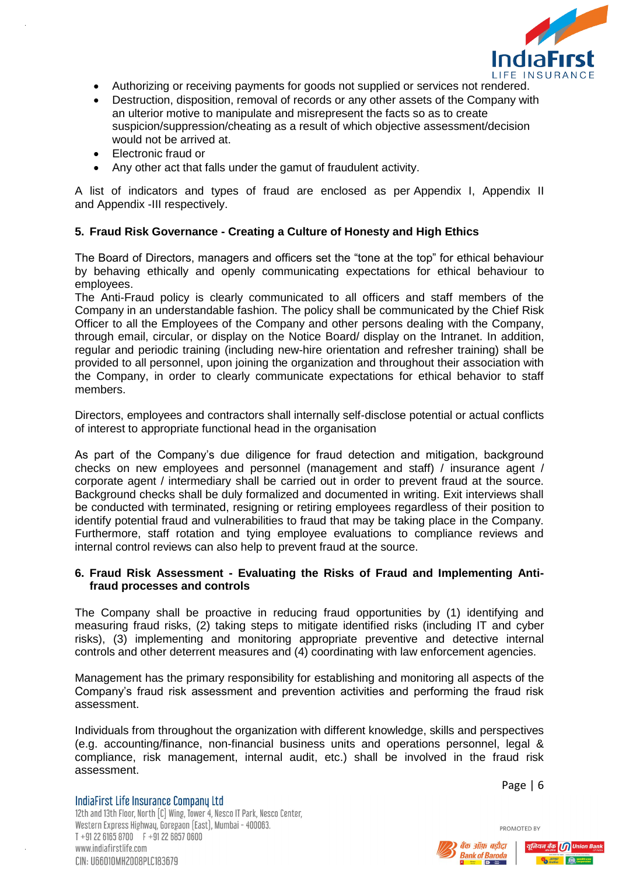

- Authorizing or receiving payments for goods not supplied or services not rendered.
- Destruction, disposition, removal of records or any other assets of the Company with an ulterior motive to manipulate and misrepresent the facts so as to create suspicion/suppression/cheating as a result of which objective assessment/decision would not be arrived at.
- Electronic fraud or
- Any other act that falls under the gamut of fraudulent activity.

A list of indicators and types of fraud are enclosed as per Appendix I, Appendix II and Appendix -III respectively.

# <span id="page-5-0"></span>**5. Fraud Risk Governance - Creating a Culture of Honesty and High Ethics**

The Board of Directors, managers and officers set the "tone at the top" for ethical behaviour by behaving ethically and openly communicating expectations for ethical behaviour to employees.

The Anti-Fraud policy is clearly communicated to all officers and staff members of the Company in an understandable fashion. The policy shall be communicated by the Chief Risk Officer to all the Employees of the Company and other persons dealing with the Company, through email, circular, or display on the Notice Board/ display on the Intranet. In addition, regular and periodic training (including new-hire orientation and refresher training) shall be provided to all personnel, upon joining the organization and throughout their association with the Company, in order to clearly communicate expectations for ethical behavior to staff members.

Directors, employees and contractors shall internally self-disclose potential or actual conflicts of interest to appropriate functional head in the organisation

As part of the Company's due diligence for fraud detection and mitigation, background checks on new employees and personnel (management and staff) / insurance agent / corporate agent / intermediary shall be carried out in order to prevent fraud at the source. Background checks shall be duly formalized and documented in writing. Exit interviews shall be conducted with terminated, resigning or retiring employees regardless of their position to identify potential fraud and vulnerabilities to fraud that may be taking place in the Company. Furthermore, staff rotation and tying employee evaluations to compliance reviews and internal control reviews can also help to prevent fraud at the source.

# <span id="page-5-1"></span>**6. Fraud Risk Assessment - Evaluating the Risks of Fraud and Implementing Antifraud processes and controls**

The Company shall be proactive in reducing fraud opportunities by (1) identifying and measuring fraud risks, (2) taking steps to mitigate identified risks (including IT and cyber risks), (3) implementing and monitoring appropriate preventive and detective internal controls and other deterrent measures and (4) coordinating with law enforcement agencies.

Management has the primary responsibility for establishing and monitoring all aspects of the Company's fraud risk assessment and prevention activities and performing the fraud risk assessment.

Individuals from throughout the organization with different knowledge, skills and perspectives (e.g. accounting/finance, non-financial business units and operations personnel, legal & compliance, risk management, internal audit, etc.) shall be involved in the fraud risk assessment.

Page | 6

PROMOTED BY

IndiaFirst Life Insurance Company Ltd 12th and 13th Floor, North [C] Wing, Tower 4, Nesco IT Park, Nesco Center. Western Express Highwau, Goregaon (East), Mumbai - 400063.  $T + 912261658700$   $F + 912268570600$ www.indiafirstlife.com CIN: U66010MH2008PLC183679



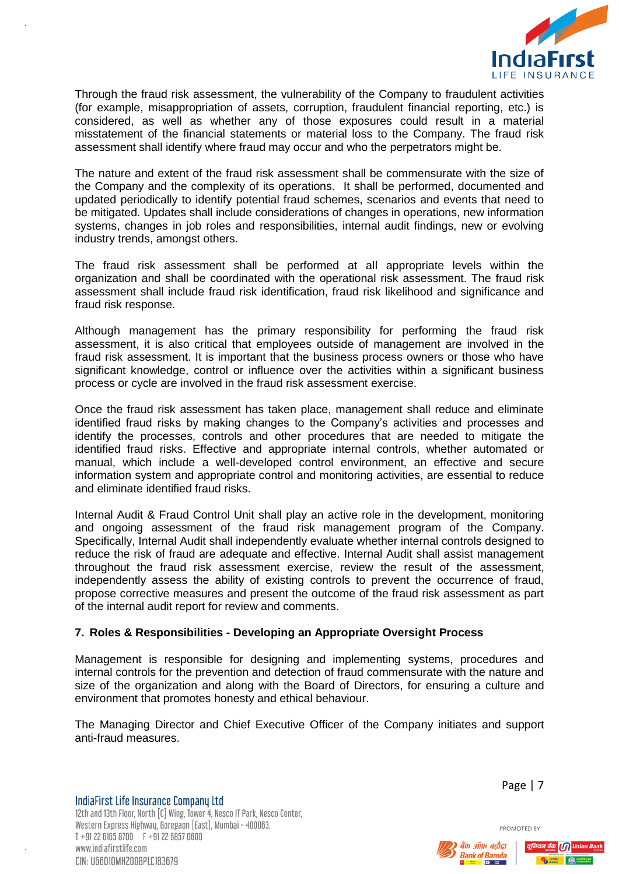

Through the fraud risk assessment, the vulnerability of the Company to fraudulent activities (for example, misappropriation of assets, corruption, fraudulent financial reporting, etc.) is considered, as well as whether any of those exposures could result in a material misstatement of the financial statements or material loss to the Company. The fraud risk assessment shall identify where fraud may occur and who the perpetrators might be.

The nature and extent of the fraud risk assessment shall be commensurate with the size of the Company and the complexity of its operations. It shall be performed, documented and updated periodically to identify potential fraud schemes, scenarios and events that need to be mitigated. Updates shall include considerations of changes in operations, new information systems, changes in job roles and responsibilities, internal audit findings, new or evolving industry trends, amongst others.

The fraud risk assessment shall be performed at all appropriate levels within the organization and shall be coordinated with the operational risk assessment. The fraud risk assessment shall include fraud risk identification, fraud risk likelihood and significance and fraud risk response.

Although management has the primary responsibility for performing the fraud risk assessment, it is also critical that employees outside of management are involved in the fraud risk assessment. It is important that the business process owners or those who have significant knowledge, control or influence over the activities within a significant business process or cycle are involved in the fraud risk assessment exercise.

Once the fraud risk assessment has taken place, management shall reduce and eliminate identified fraud risks by making changes to the Company's activities and processes and identify the processes, controls and other procedures that are needed to mitigate the identified fraud risks. Effective and appropriate internal controls, whether automated or manual, which include a well-developed control environment, an effective and secure information system and appropriate control and monitoring activities, are essential to reduce and eliminate identified fraud risks.

Internal Audit & Fraud Control Unit shall play an active role in the development, monitoring and ongoing assessment of the fraud risk management program of the Company. Specifically, Internal Audit shall independently evaluate whether internal controls designed to reduce the risk of fraud are adequate and effective. Internal Audit shall assist management throughout the fraud risk assessment exercise, review the result of the assessment, independently assess the ability of existing controls to prevent the occurrence of fraud, propose corrective measures and present the outcome of the fraud risk assessment as part of the internal audit report for review and comments.

# <span id="page-6-0"></span>**7. Roles & Responsibilities - Developing an Appropriate Oversight Process**

Management is responsible for designing and implementing systems, procedures and internal controls for the prevention and detection of fraud commensurate with the nature and size of the organization and along with the Board of Directors, for ensuring a culture and environment that promotes honesty and ethical behaviour.

The Managing Director and Chief Executive Officer of the Company initiates and support anti-fraud measures.

IndiaFirst Life Insurance Company Ltd 12th and 13th Floor, North [C] Wing, Tower 4, Nesco IT Park, Nesco Center. Western Express Highwau, Goregaon (East), Mumbai - 400063.  $T + 912261658700$   $F + 912268570600$ www.indiafirstlife.com CIN: U66010MH2008PLC183679

Page | 7



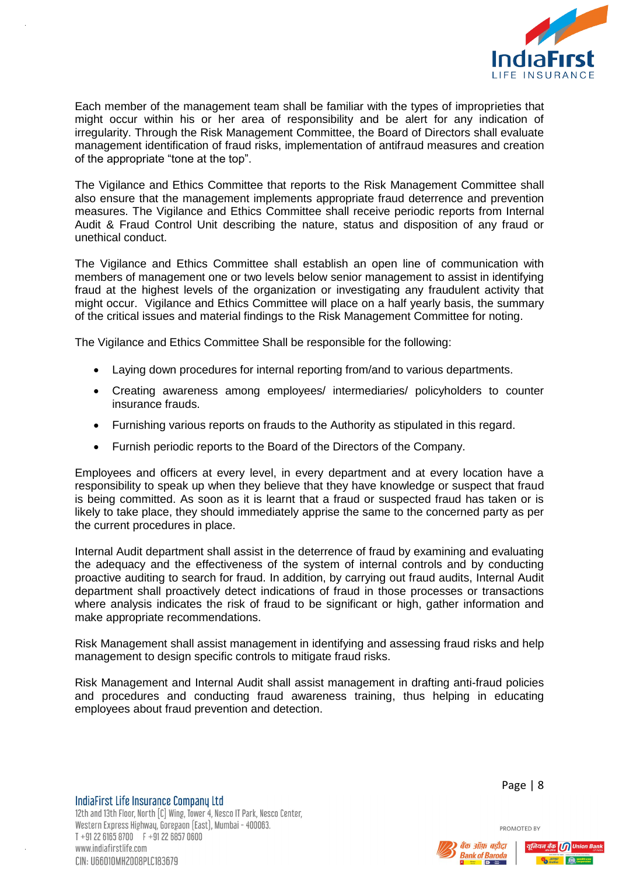

Each member of the management team shall be familiar with the types of improprieties that might occur within his or her area of responsibility and be alert for any indication of irregularity. Through the Risk Management Committee, the Board of Directors shall evaluate management identification of fraud risks, implementation of antifraud measures and creation of the appropriate "tone at the top".

The Vigilance and Ethics Committee that reports to the Risk Management Committee shall also ensure that the management implements appropriate fraud deterrence and prevention measures. The Vigilance and Ethics Committee shall receive periodic reports from Internal Audit & Fraud Control Unit describing the nature, status and disposition of any fraud or unethical conduct.

The Vigilance and Ethics Committee shall establish an open line of communication with members of management one or two levels below senior management to assist in identifying fraud at the highest levels of the organization or investigating any fraudulent activity that might occur. Vigilance and Ethics Committee will place on a half yearly basis, the summary of the critical issues and material findings to the Risk Management Committee for noting.

The Vigilance and Ethics Committee Shall be responsible for the following:

- Laying down procedures for internal reporting from/and to various departments.
- Creating awareness among employees/ intermediaries/ policyholders to counter insurance frauds.
- Furnishing various reports on frauds to the Authority as stipulated in this regard.
- Furnish periodic reports to the Board of the Directors of the Company.

Employees and officers at every level, in every department and at every location have a responsibility to speak up when they believe that they have knowledge or suspect that fraud is being committed. As soon as it is learnt that a fraud or suspected fraud has taken or is likely to take place, they should immediately apprise the same to the concerned party as per the current procedures in place.

Internal Audit department shall assist in the deterrence of fraud by examining and evaluating the adequacy and the effectiveness of the system of internal controls and by conducting proactive auditing to search for fraud. In addition, by carrying out fraud audits, Internal Audit department shall proactively detect indications of fraud in those processes or transactions where analysis indicates the risk of fraud to be significant or high, gather information and make appropriate recommendations.

Risk Management shall assist management in identifying and assessing fraud risks and help management to design specific controls to mitigate fraud risks.

Risk Management and Internal Audit shall assist management in drafting anti-fraud policies and procedures and conducting fraud awareness training, thus helping in educating employees about fraud prevention and detection.

IndiaFirst Life Insurance Company Ltd 12th and 13th Floor, North [C] Wing, Tower 4, Nesco IT Park, Nesco Center. Western Express Highwau, Goregaon (East), Mumbai - 400063.  $T + 912261658700$   $F + 912268570600$ www.indiafirstlife.com CIN: U66010MH2008PLC183679

Page | 8



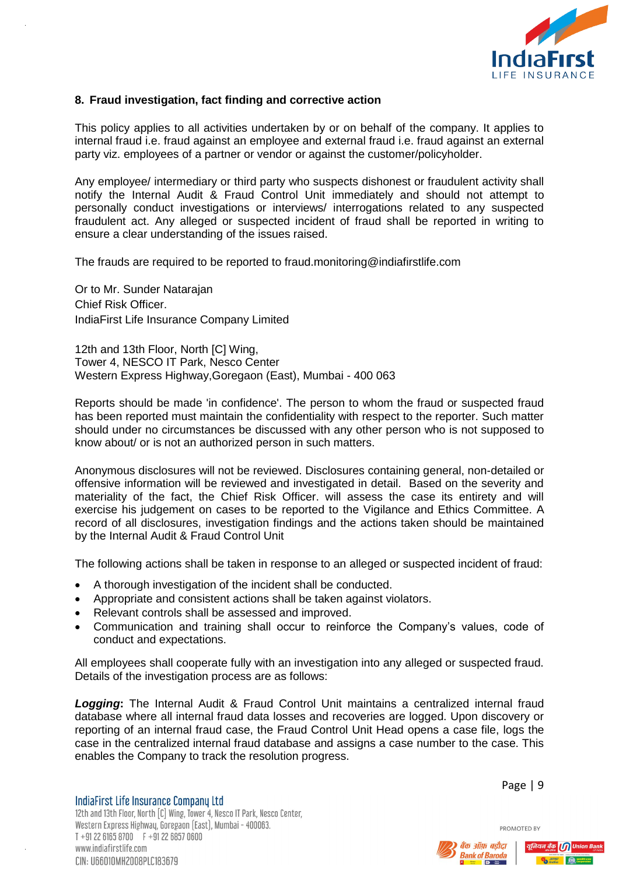

# <span id="page-8-0"></span>**8. Fraud investigation, fact finding and corrective action**

This policy applies to all activities undertaken by or on behalf of the company. It applies to internal fraud i.e. fraud against an employee and external fraud i.e. fraud against an external party viz. employees of a partner or vendor or against the customer/policyholder.

Any employee/ intermediary or third party who suspects dishonest or fraudulent activity shall notify the Internal Audit & Fraud Control Unit immediately and should not attempt to personally conduct investigations or interviews/ interrogations related to any suspected fraudulent act. Any alleged or suspected incident of fraud shall be reported in writing to ensure a clear understanding of the issues raised.

The frauds are required to be reported to fraud.monitoring@indiafirstlife.com

Or to Mr. Sunder Natarajan Chief Risk Officer. IndiaFirst Life Insurance Company Limited

12th and 13th Floor, North [C] Wing, Tower 4, NESCO IT Park, Nesco Center Western Express Highway,Goregaon (East), Mumbai - 400 063

Reports should be made 'in confidence'. The person to whom the fraud or suspected fraud has been reported must maintain the confidentiality with respect to the reporter. Such matter should under no circumstances be discussed with any other person who is not supposed to know about/ or is not an authorized person in such matters.

Anonymous disclosures will not be reviewed. Disclosures containing general, non-detailed or offensive information will be reviewed and investigated in detail. Based on the severity and materiality of the fact, the Chief Risk Officer. will assess the case its entirety and will exercise his judgement on cases to be reported to the Vigilance and Ethics Committee. A record of all disclosures, investigation findings and the actions taken should be maintained by the Internal Audit & Fraud Control Unit

The following actions shall be taken in response to an alleged or suspected incident of fraud:

- A thorough investigation of the incident shall be conducted.
- Appropriate and consistent actions shall be taken against violators.
- Relevant controls shall be assessed and improved.
- Communication and training shall occur to reinforce the Company's values, code of conduct and expectations.

All employees shall cooperate fully with an investigation into any alleged or suspected fraud. Details of the investigation process are as follows:

*Logging***:** The Internal Audit & Fraud Control Unit maintains a centralized internal fraud database where all internal fraud data losses and recoveries are logged. Upon discovery or reporting of an internal fraud case, the Fraud Control Unit Head opens a case file, logs the case in the centralized internal fraud database and assigns a case number to the case. This enables the Company to track the resolution progress.

IndiaFirst Life Insurance Company Ltd 12th and 13th Floor, North [C] Wing, Tower 4, Nesco IT Park, Nesco Center. Western Express Highwau, Goregaon (East), Mumbai - 400063.  $T + 912261658700$   $F + 912268570600$ www.indiafirstlife.com CIN: U66010MH2008PLC183679

Page | 9



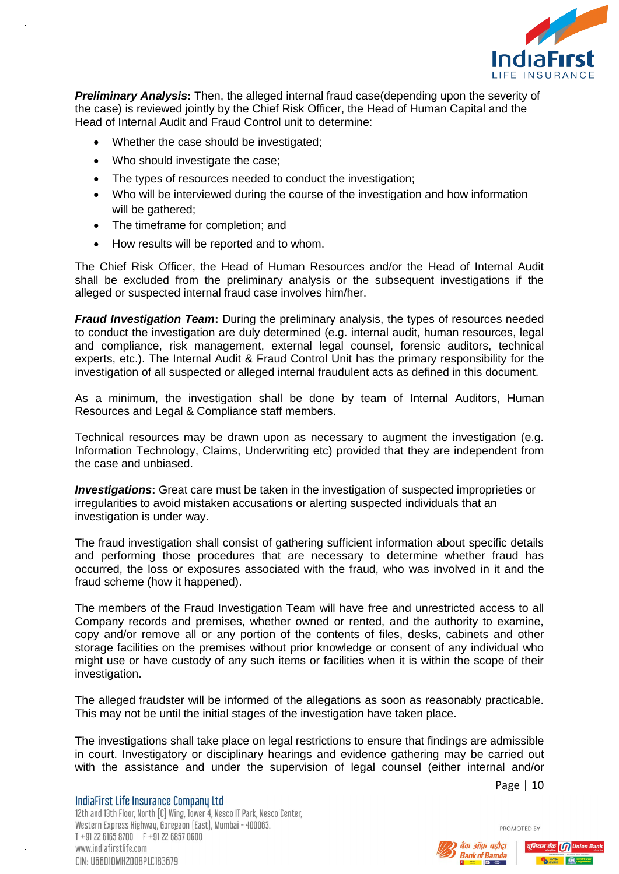

**Preliminary Analysis:** Then, the alleged internal fraud case(depending upon the severity of the case) is reviewed jointly by the Chief Risk Officer, the Head of Human Capital and the Head of Internal Audit and Fraud Control unit to determine:

- Whether the case should be investigated;
- Who should investigate the case:
- The types of resources needed to conduct the investigation;
- Who will be interviewed during the course of the investigation and how information will be gathered;
- The timeframe for completion; and
- How results will be reported and to whom.

The Chief Risk Officer, the Head of Human Resources and/or the Head of Internal Audit shall be excluded from the preliminary analysis or the subsequent investigations if the alleged or suspected internal fraud case involves him/her.

*Fraud Investigation Team:* During the preliminary analysis, the types of resources needed to conduct the investigation are duly determined (e.g. internal audit, human resources, legal and compliance, risk management, external legal counsel, forensic auditors, technical experts, etc.). The Internal Audit & Fraud Control Unit has the primary responsibility for the investigation of all suspected or alleged internal fraudulent acts as defined in this document.

As a minimum, the investigation shall be done by team of Internal Auditors, Human Resources and Legal & Compliance staff members.

Technical resources may be drawn upon as necessary to augment the investigation (e.g. Information Technology, Claims, Underwriting etc) provided that they are independent from the case and unbiased.

**Investigations:** Great care must be taken in the investigation of suspected improprieties or irregularities to avoid mistaken accusations or alerting suspected individuals that an investigation is under way.

The fraud investigation shall consist of gathering sufficient information about specific details and performing those procedures that are necessary to determine whether fraud has occurred, the loss or exposures associated with the fraud, who was involved in it and the fraud scheme (how it happened).

The members of the Fraud Investigation Team will have free and unrestricted access to all Company records and premises, whether owned or rented, and the authority to examine, copy and/or remove all or any portion of the contents of files, desks, cabinets and other storage facilities on the premises without prior knowledge or consent of any individual who might use or have custody of any such items or facilities when it is within the scope of their investigation.

The alleged fraudster will be informed of the allegations as soon as reasonably practicable. This may not be until the initial stages of the investigation have taken place.

The investigations shall take place on legal restrictions to ensure that findings are admissible in court. Investigatory or disciplinary hearings and evidence gathering may be carried out with the assistance and under the supervision of legal counsel (either internal and/or

Page | 10

PROMOTED BY

IndiaFirst Life Insurance Company Ltd 12th and 13th Floor, North [C] Wing, Tower 4, Nesco IT Park, Nesco Center. Western Express Highwau, Goregaon (East), Mumbai - 400063.  $T + 912261658700$   $F + 912268570600$ www.indiafirstlife.com CIN: U66010MH2008PLC183679



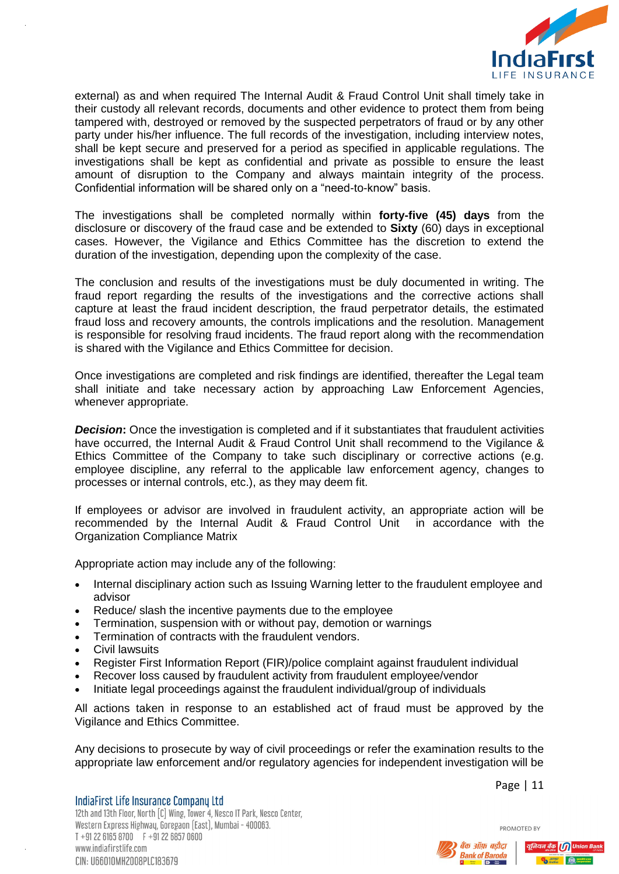

external) as and when required The Internal Audit & Fraud Control Unit shall timely take in their custody all relevant records, documents and other evidence to protect them from being tampered with, destroyed or removed by the suspected perpetrators of fraud or by any other party under his/her influence. The full records of the investigation, including interview notes, shall be kept secure and preserved for a period as specified in applicable regulations. The investigations shall be kept as confidential and private as possible to ensure the least amount of disruption to the Company and always maintain integrity of the process. Confidential information will be shared only on a "need-to-know" basis.

The investigations shall be completed normally within **forty-five (45) days** from the disclosure or discovery of the fraud case and be extended to **Sixty** (60) days in exceptional cases. However, the Vigilance and Ethics Committee has the discretion to extend the duration of the investigation, depending upon the complexity of the case.

The conclusion and results of the investigations must be duly documented in writing. The fraud report regarding the results of the investigations and the corrective actions shall capture at least the fraud incident description, the fraud perpetrator details, the estimated fraud loss and recovery amounts, the controls implications and the resolution. Management is responsible for resolving fraud incidents. The fraud report along with the recommendation is shared with the Vigilance and Ethics Committee for decision.

Once investigations are completed and risk findings are identified, thereafter the Legal team shall initiate and take necessary action by approaching Law Enforcement Agencies, whenever appropriate.

*Decision:* Once the investigation is completed and if it substantiates that fraudulent activities have occurred, the Internal Audit & Fraud Control Unit shall recommend to the Vigilance & Ethics Committee of the Company to take such disciplinary or corrective actions (e.g. employee discipline, any referral to the applicable law enforcement agency, changes to processes or internal controls, etc.), as they may deem fit.

If employees or advisor are involved in fraudulent activity, an appropriate action will be recommended by the Internal Audit & Fraud Control Unit in accordance with the Organization Compliance Matrix

Appropriate action may include any of the following:

- Internal disciplinary action such as Issuing Warning letter to the fraudulent employee and advisor
- Reduce/ slash the incentive payments due to the employee
- Termination, suspension with or without pay, demotion or warnings
- Termination of contracts with the fraudulent vendors.
- Civil lawsuits
- Register First Information Report (FIR)/police complaint against fraudulent individual
- Recover loss caused by fraudulent activity from fraudulent employee/vendor
- Initiate legal proceedings against the fraudulent individual/group of individuals

All actions taken in response to an established act of fraud must be approved by the Vigilance and Ethics Committee.

Any decisions to prosecute by way of civil proceedings or refer the examination results to the appropriate law enforcement and/or regulatory agencies for independent investigation will be

IndiaFirst Life Insurance Company Ltd 12th and 13th Floor, North [C] Wing, Tower 4, Nesco IT Park, Nesco Center. Western Express Highwau, Goregaon (East), Mumbai - 400063.  $T + 912261658700$   $F + 912268570600$ www.indiafirstlife.com CIN: U66010MH2008PLC183679

Page | 11

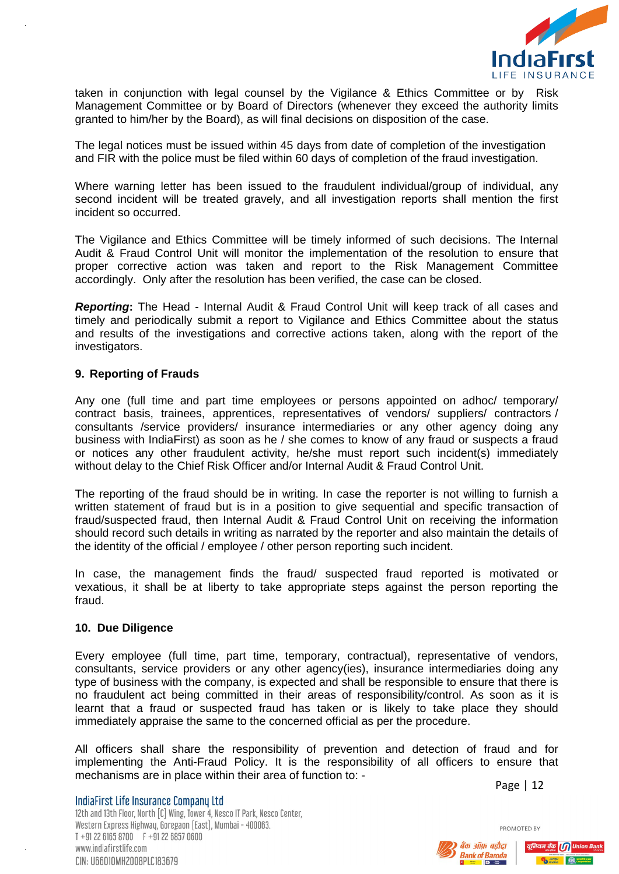

taken in conjunction with legal counsel by the Vigilance & Ethics Committee or by Risk Management Committee or by Board of Directors (whenever they exceed the authority limits granted to him/her by the Board), as will final decisions on disposition of the case.

The legal notices must be issued within 45 days from date of completion of the investigation and FIR with the police must be filed within 60 days of completion of the fraud investigation.

Where warning letter has been issued to the fraudulent individual/group of individual, any second incident will be treated gravely, and all investigation reports shall mention the first incident so occurred.

The Vigilance and Ethics Committee will be timely informed of such decisions. The Internal Audit & Fraud Control Unit will monitor the implementation of the resolution to ensure that proper corrective action was taken and report to the Risk Management Committee accordingly. Only after the resolution has been verified, the case can be closed.

*Reporting***:** The Head - Internal Audit & Fraud Control Unit will keep track of all cases and timely and periodically submit a report to Vigilance and Ethics Committee about the status and results of the investigations and corrective actions taken, along with the report of the investigators.

# <span id="page-11-0"></span>**9. Reporting of Frauds**

Any one (full time and part time employees or persons appointed on adhoc/ temporary/ contract basis, trainees, apprentices, representatives of vendors/ suppliers/ contractors / consultants /service providers/ insurance intermediaries or any other agency doing any business with IndiaFirst) as soon as he / she comes to know of any fraud or suspects a fraud or notices any other fraudulent activity, he/she must report such incident(s) immediately without delay to the Chief Risk Officer and/or Internal Audit & Fraud Control Unit.

The reporting of the fraud should be in writing. In case the reporter is not willing to furnish a written statement of fraud but is in a position to give sequential and specific transaction of fraud/suspected fraud, then Internal Audit & Fraud Control Unit on receiving the information should record such details in writing as narrated by the reporter and also maintain the details of the identity of the official / employee / other person reporting such incident.

In case, the management finds the fraud/ suspected fraud reported is motivated or vexatious, it shall be at liberty to take appropriate steps against the person reporting the fraud.

#### <span id="page-11-1"></span>**10. Due Diligence**

Every employee (full time, part time, temporary, contractual), representative of vendors, consultants, service providers or any other agency(ies), insurance intermediaries doing any type of business with the company, is expected and shall be responsible to ensure that there is no fraudulent act being committed in their areas of responsibility/control. As soon as it is learnt that a fraud or suspected fraud has taken or is likely to take place they should immediately appraise the same to the concerned official as per the procedure.

All officers shall share the responsibility of prevention and detection of fraud and for implementing the Anti-Fraud Policy. It is the responsibility of all officers to ensure that mechanisms are in place within their area of function to: -

Page | 12

PROMOTED BY

IndiaFirst Life Insurance Company Ltd 12th and 13th Floor, North [C] Wing, Tower 4, Nesco IT Park, Nesco Center. Western Express Highwau, Goregaon (East), Mumbai - 400063.  $T + 912261658700$   $F + 912268570600$ www.indiafirstlife.com CIN: U66010MH2008PLC183679



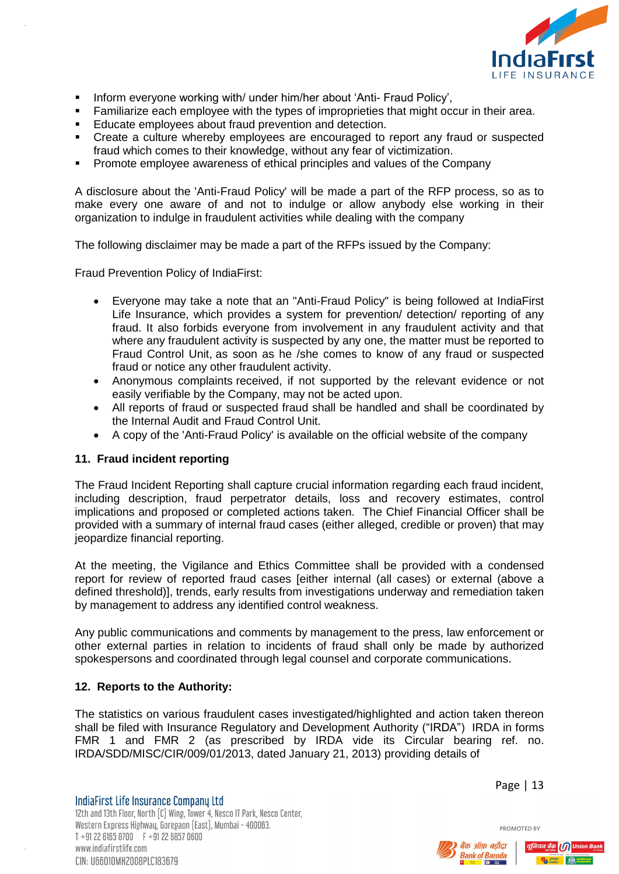

- **Inform everyone working with/ under him/her about 'Anti- Fraud Policy',**
- **Familiarize each employee with the types of improprieties that might occur in their area.**
- Educate employees about fraud prevention and detection.
- Create a culture whereby employees are encouraged to report any fraud or suspected fraud which comes to their knowledge, without any fear of victimization.
- Promote employee awareness of ethical principles and values of the Company

A disclosure about the 'Anti-Fraud Policy' will be made a part of the RFP process, so as to make every one aware of and not to indulge or allow anybody else working in their organization to indulge in fraudulent activities while dealing with the company

The following disclaimer may be made a part of the RFPs issued by the Company:

Fraud Prevention Policy of IndiaFirst:

- Everyone may take a note that an "Anti-Fraud Policy" is being followed at IndiaFirst Life Insurance, which provides a system for prevention/ detection/ reporting of any fraud. It also forbids everyone from involvement in any fraudulent activity and that where any fraudulent activity is suspected by any one, the matter must be reported to Fraud Control Unit, as soon as he /she comes to know of any fraud or suspected fraud or notice any other fraudulent activity.
- Anonymous complaints received, if not supported by the relevant evidence or not easily verifiable by the Company, may not be acted upon.
- All reports of fraud or suspected fraud shall be handled and shall be coordinated by the Internal Audit and Fraud Control Unit.
- A copy of the 'Anti-Fraud Policy' is available on the official website of the company

#### <span id="page-12-0"></span>**11. Fraud incident reporting**

The Fraud Incident Reporting shall capture crucial information regarding each fraud incident, including description, fraud perpetrator details, loss and recovery estimates, control implications and proposed or completed actions taken. The Chief Financial Officer shall be provided with a summary of internal fraud cases (either alleged, credible or proven) that may jeopardize financial reporting.

At the meeting, the Vigilance and Ethics Committee shall be provided with a condensed report for review of reported fraud cases [either internal (all cases) or external (above a defined threshold)], trends, early results from investigations underway and remediation taken by management to address any identified control weakness.

Any public communications and comments by management to the press, law enforcement or other external parties in relation to incidents of fraud shall only be made by authorized spokespersons and coordinated through legal counsel and corporate communications.

#### <span id="page-12-1"></span>**12. Reports to the Authority:**

The statistics on various fraudulent cases investigated/highlighted and action taken thereon shall be filed with Insurance Regulatory and Development Authority ("IRDA") IRDA in forms FMR 1 and FMR 2 (as prescribed by IRDA vide its Circular bearing ref. no. IRDA/SDD/MISC/CIR/009/01/2013, dated January 21, 2013) providing details of

IndiaFirst Life Insurance Company Ltd 12th and 13th Floor, North [C] Wing, Tower 4, Nesco IT Park, Nesco Center. Western Express Highwau, Goregaon (East), Mumbai - 400063.  $T + 912261658700$   $F + 912268570600$ www.indiafirstlife.com CIN: U66010MH2008PLC183679

Page | 13



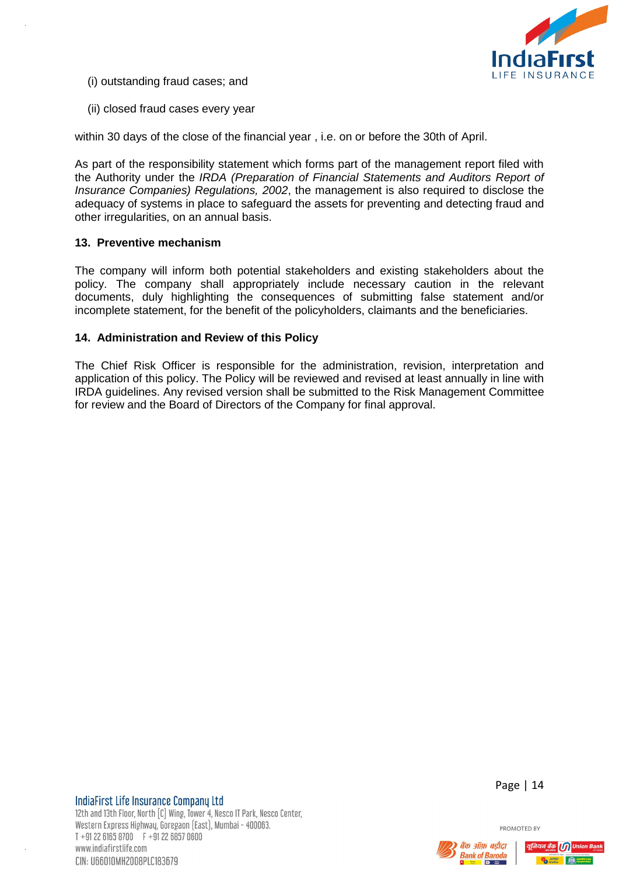

- (i) outstanding fraud cases; and
- (ii) closed fraud cases every year

within 30 days of the close of the financial year , i.e. on or before the 30th of April.

As part of the responsibility statement which forms part of the management report filed with the Authority under the *IRDA (Preparation of Financial Statements and Auditors Report of Insurance Companies) Regulations, 2002*, the management is also required to disclose the adequacy of systems in place to safeguard the assets for preventing and detecting fraud and other irregularities, on an annual basis.

# <span id="page-13-0"></span>**13. Preventive mechanism**

The company will inform both potential stakeholders and existing stakeholders about the policy. The company shall appropriately include necessary caution in the relevant documents, duly highlighting the consequences of submitting false statement and/or incomplete statement, for the benefit of the policyholders, claimants and the beneficiaries.

# <span id="page-13-1"></span>**14. Administration and Review of this Policy**

The Chief Risk Officer is responsible for the administration, revision, interpretation and application of this policy. The Policy will be reviewed and revised at least annually in line with IRDA guidelines. Any revised version shall be submitted to the Risk Management Committee for review and the Board of Directors of the Company for final approval.



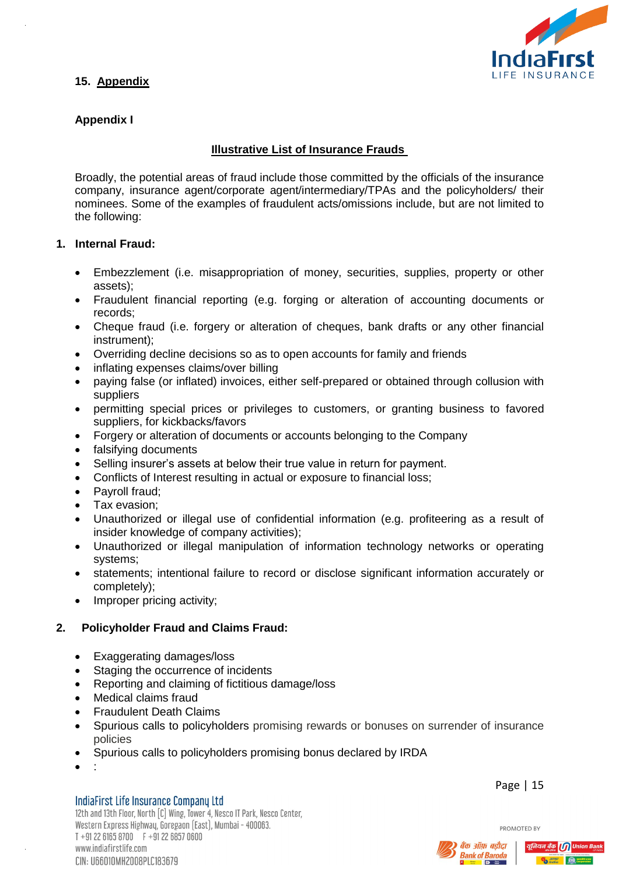

# <span id="page-14-0"></span>**15. Appendix**

# **Appendix I**

# **Illustrative List of Insurance Frauds**

Broadly, the potential areas of fraud include those committed by the officials of the insurance company, insurance agent/corporate agent/intermediary/TPAs and the policyholders/ their nominees. Some of the examples of fraudulent acts/omissions include, but are not limited to the following:

# **1. Internal Fraud:**

- Embezzlement (i.e. misappropriation of money, securities, supplies, property or other assets);
- Fraudulent financial reporting (e.g. forging or alteration of accounting documents or records;
- Cheque fraud (i.e. forgery or alteration of cheques, bank drafts or any other financial instrument);
- Overriding decline decisions so as to open accounts for family and friends
- inflating expenses claims/over billing
- paying false (or inflated) invoices, either self-prepared or obtained through collusion with suppliers
- permitting special prices or privileges to customers, or granting business to favored suppliers, for kickbacks/favors
- Forgery or alteration of documents or accounts belonging to the Company
- falsifying documents
- Selling insurer's assets at below their true value in return for payment.
- Conflicts of Interest resulting in actual or exposure to financial loss;
- Payroll fraud;
- Tax evasion;
- Unauthorized or illegal use of confidential information (e.g. profiteering as a result of insider knowledge of company activities);
- Unauthorized or illegal manipulation of information technology networks or operating systems;
- statements; intentional failure to record or disclose significant information accurately or completely);
- Improper pricing activity:

# **2. Policyholder Fraud and Claims Fraud:**

- Exaggerating damages/loss
- Staging the occurrence of incidents
- Reporting and claiming of fictitious damage/loss
- Medical claims fraud
- Fraudulent Death Claims
- Spurious calls to policyholders promising rewards or bonuses on surrender of insurance policies
- Spurious calls to policyholders promising bonus declared by IRDA
- $\bullet$  :

#### IndiaFirst Life Insurance Company Ltd

12th and 13th Floor, North [C] Wing, Tower 4, Nesco IT Park, Nesco Center. Western Express Highwau, Goregaon (East), Mumbai - 400063.  $T + 912261658700$   $F + 912268570600$ www.indiafirstlife.com CIN: U66010MH2008PLC183679

Page | 15



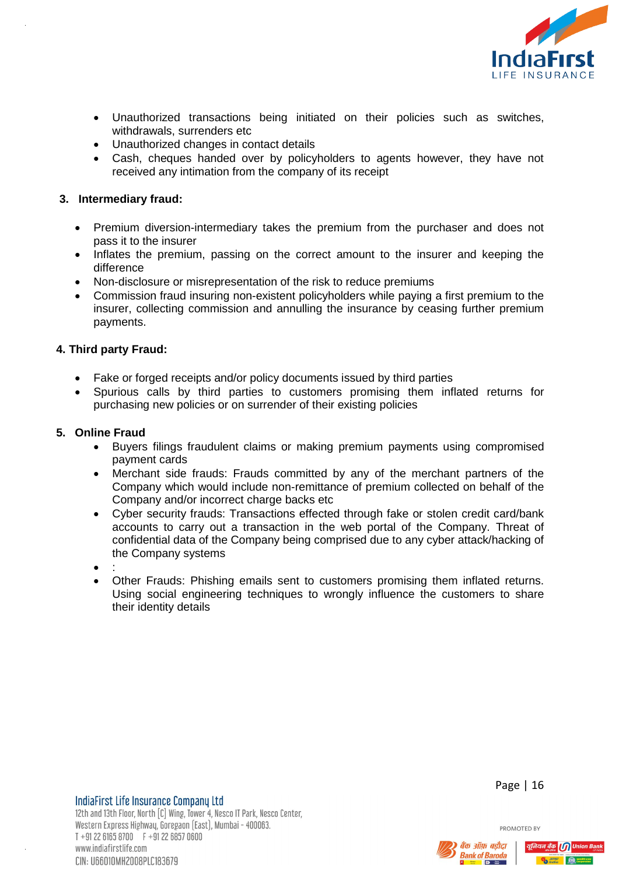

- Unauthorized transactions being initiated on their policies such as switches, withdrawals, surrenders etc
- Unauthorized changes in contact details
- Cash, cheques handed over by policyholders to agents however, they have not received any intimation from the company of its receipt

# **3. Intermediary fraud:**

- Premium diversion-intermediary takes the premium from the purchaser and does not pass it to the insurer
- Inflates the premium, passing on the correct amount to the insurer and keeping the difference
- Non-disclosure or misrepresentation of the risk to reduce premiums
- Commission fraud insuring non-existent policyholders while paying a first premium to the insurer, collecting commission and annulling the insurance by ceasing further premium payments.

# **4. Third party Fraud:**

- Fake or forged receipts and/or policy documents issued by third parties
- Spurious calls by third parties to customers promising them inflated returns for purchasing new policies or on surrender of their existing policies

# **5. Online Fraud**

- Buyers filings fraudulent claims or making premium payments using compromised payment cards
- Merchant side frauds: Frauds committed by any of the merchant partners of the Company which would include non-remittance of premium collected on behalf of the Company and/or incorrect charge backs etc
- Cyber security frauds: Transactions effected through fake or stolen credit card/bank accounts to carry out a transaction in the web portal of the Company. Threat of confidential data of the Company being comprised due to any cyber attack/hacking of the Company systems
- $\bullet$  :
- Other Frauds: Phishing emails sent to customers promising them inflated returns. Using social engineering techniques to wrongly influence the customers to share their identity details

Page | 16



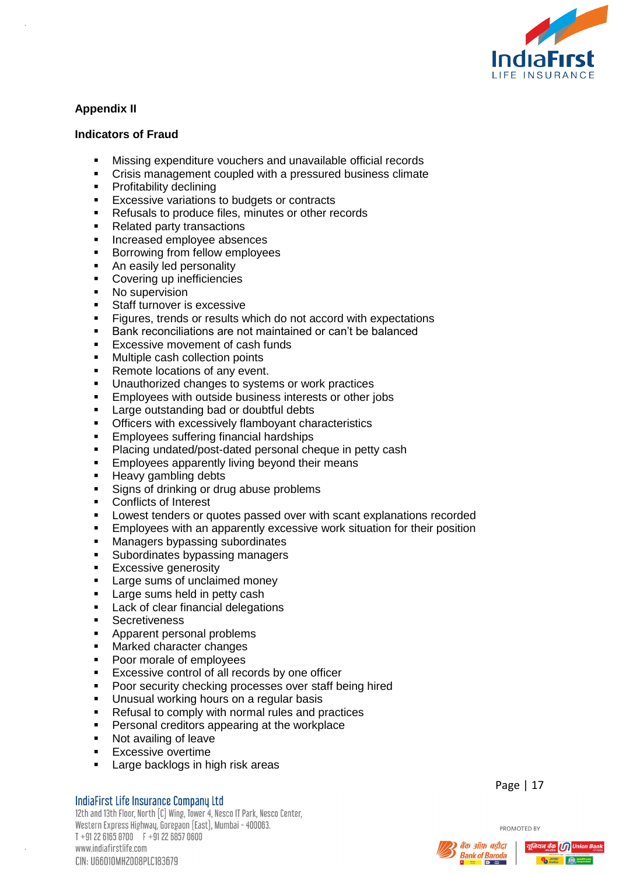

# **Appendix II**

# **Indicators of Fraud**

- Missing expenditure vouchers and unavailable official records
- Crisis management coupled with a pressured business climate
- **•** Profitability declining
- **Excessive variations to budgets or contracts**
- **Refusals to produce files, minutes or other records**
- Related party transactions
- **Increased employee absences**
- **Borrowing from fellow employees**
- An easily led personality
- Covering up inefficiencies
- No supervision
- Staff turnover is excessive
- **Figures, trends or results which do not accord with expectations**
- Bank reconciliations are not maintained or can't be balanced
- **Excessive movement of cash funds**
- **Multiple cash collection points**
- Remote locations of any event.
- **Unauthorized changes to systems or work practices**
- **Employees with outside business interests or other jobs**
- **Large outstanding bad or doubtful debts**
- **•** Officers with excessively flamboyant characteristics
- **Employees suffering financial hardships**
- **Placing undated/post-dated personal cheque in petty cash**
- **Employees apparently living beyond their means**
- **Heavy gambling debts**
- **Signs of drinking or drug abuse problems**
- **Conflicts of Interest**
- Lowest tenders or quotes passed over with scant explanations recorded
- **Employees with an apparently excessive work situation for their position**
- **Managers bypassing subordinates**
- **Subordinates bypassing managers**
- **Excessive generosity**
- **Large sums of unclaimed money**
- **Large sums held in petty cash**
- **Lack of clear financial delegations**
- **Secretiveness**
- **Apparent personal problems**
- **Marked character changes**
- Poor morale of employees
- **Excessive control of all records by one officer**
- **Poor security checking processes over staff being hired**
- **Unusual working hours on a regular basis**
- Refusal to comply with normal rules and practices
- **Personal creditors appearing at the workplace**
- Not availing of leave
- **Excessive overtime**
- **Large backlogs in high risk areas**

#### IndiaFirst Life Insurance Company Ltd

12th and 13th Floor, North [C] Wing, Tower 4, Nesco IT Park, Nesco Center, Western Express Highway, Goregaon (East), Mumbai - 400063.  $T + 912261658700$   $F + 912268570600$ www.indiafirstlife.com CIN: U66010MH2008PLC183679

Page | 17



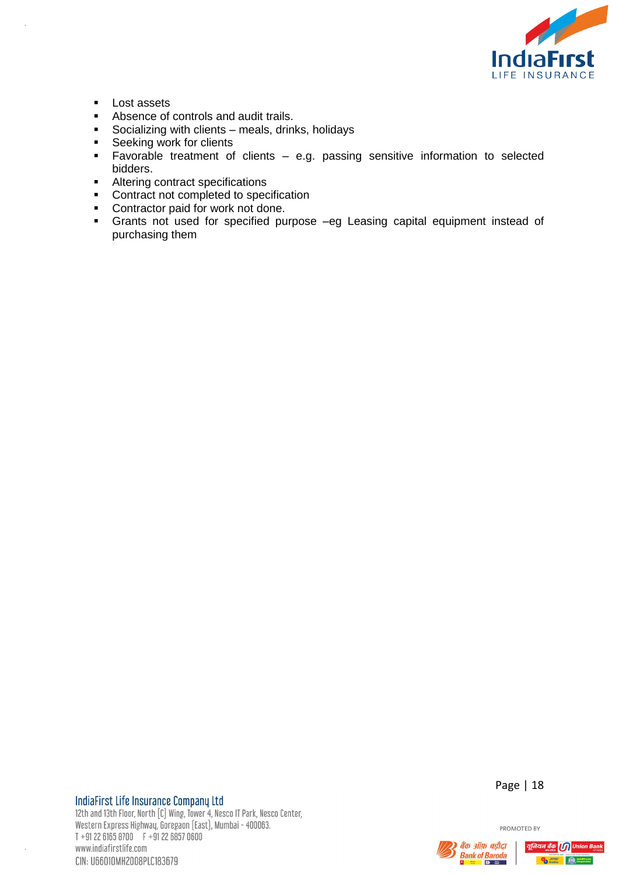

- **Lost assets**<br>Absence of
- Absence of controls and audit trails.
- Socializing with clients meals, drinks, holidays
- Seeking work for clients<br>Favorable treatment of
- Favorable treatment of clients e.g. passing sensitive information to selected bidders.
- Altering contract specifications
- Contract not completed to specification
- **•** Contractor paid for work not done.
- Grants not used for specified purpose –eg Leasing capital equipment instead of purchasing them

# IndiaFirst Life Insurance Company Ltd

12th and 13th Floor, North [C] Wing, Tower 4, Nesco IT Park, Nesco Center, Western Express Highway, Goregaon (East), Mumbai - 400063.  $T + 912261658700$   $F + 912268570600$ www.indiafirstlife.com CIN: U66010MH2008PLC183679

Page | 18